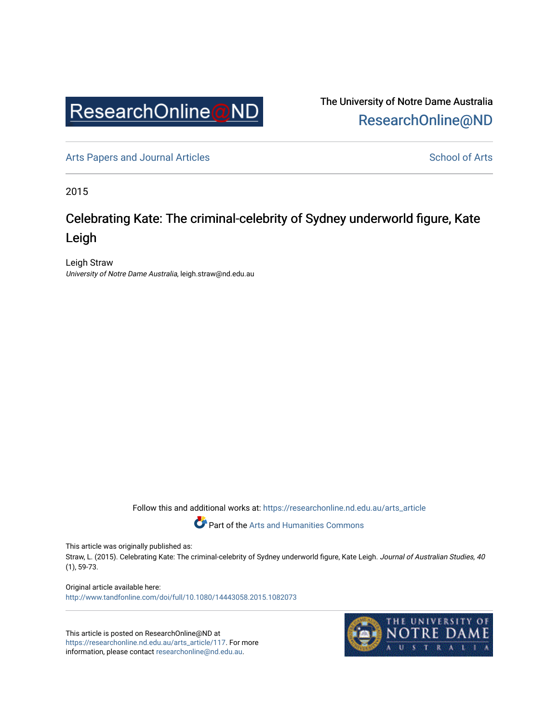

The University of Notre Dame Australia [ResearchOnline@ND](https://researchonline.nd.edu.au/) 

[Arts Papers and Journal Articles](https://researchonline.nd.edu.au/arts_article) and [School of Arts](https://researchonline.nd.edu.au/arts) School of Arts

2015

# Celebrating Kate: The criminal-celebrity of Sydney underworld figure, Kate Leigh

Leigh Straw University of Notre Dame Australia, leigh.straw@nd.edu.au

Follow this and additional works at: [https://researchonline.nd.edu.au/arts\\_article](https://researchonline.nd.edu.au/arts_article?utm_source=researchonline.nd.edu.au%2Farts_article%2F117&utm_medium=PDF&utm_campaign=PDFCoverPages) 

Part of the [Arts and Humanities Commons](http://network.bepress.com/hgg/discipline/438?utm_source=researchonline.nd.edu.au%2Farts_article%2F117&utm_medium=PDF&utm_campaign=PDFCoverPages) 

This article was originally published as:

Straw, L. (2015). Celebrating Kate: The criminal-celebrity of Sydney underworld figure, Kate Leigh. Journal of Australian Studies, 40 (1), 59-73.

Original article available here: <http://www.tandfonline.com/doi/full/10.1080/14443058.2015.1082073>

This article is posted on ResearchOnline@ND at [https://researchonline.nd.edu.au/arts\\_article/117](https://researchonline.nd.edu.au/arts_article/117). For more information, please contact [researchonline@nd.edu.au.](mailto:researchonline@nd.edu.au)

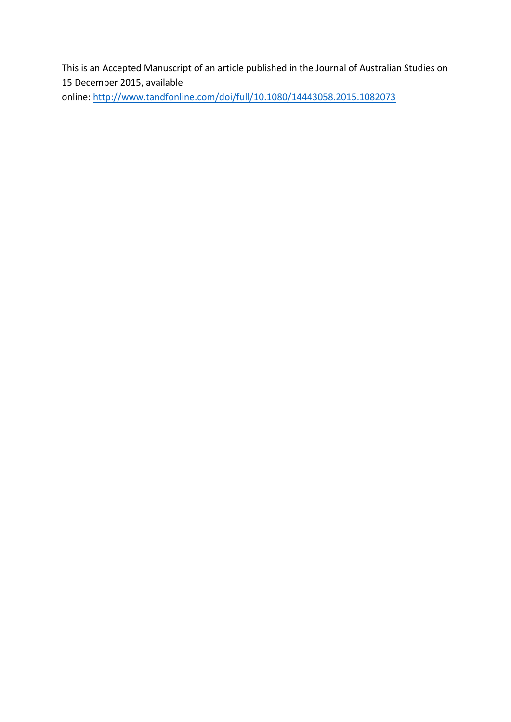This is an Accepted Manuscript of an article published in the Journal of Australian Studies on 15 December 2015, available

online: <http://www.tandfonline.com/doi/full/10.1080/14443058.2015.1082073>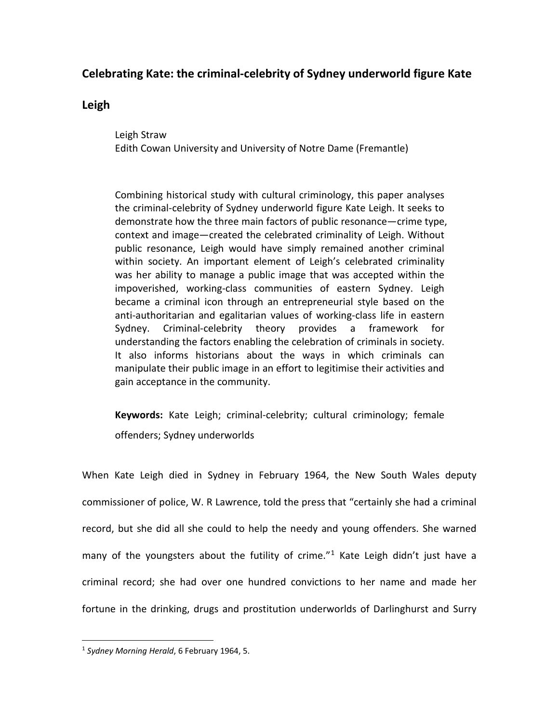## **Celebrating Kate: the criminal-celebrity of Sydney underworld figure Kate**

### **Leigh**

Leigh Straw Edith Cowan University and University of Notre Dame (Fremantle)

Combining historical study with cultural criminology, this paper analyses the criminal-celebrity of Sydney underworld figure Kate Leigh. It seeks to demonstrate how the three main factors of public resonance—crime type, context and image—created the celebrated criminality of Leigh. Without public resonance, Leigh would have simply remained another criminal within society. An important element of Leigh's celebrated criminality was her ability to manage a public image that was accepted within the impoverished, working-class communities of eastern Sydney. Leigh became a criminal icon through an entrepreneurial style based on the anti-authoritarian and egalitarian values of working-class life in eastern Sydney. Criminal-celebrity theory provides a framework for understanding the factors enabling the celebration of criminals in society. It also informs historians about the ways in which criminals can manipulate their public image in an effort to legitimise their activities and gain acceptance in the community.

**Keywords:** Kate Leigh; criminal-celebrity; cultural criminology; female offenders; Sydney underworlds

When Kate Leigh died in Sydney in February 1964, the New South Wales deputy commissioner of police, W. R Lawrence, told the press that "certainly she had a criminal record, but she did all she could to help the needy and young offenders. She warned many of the youngsters about the futility of crime."<sup>[1](#page-2-0)</sup> Kate Leigh didn't just have a criminal record; she had over one hundred convictions to her name and made her fortune in the drinking, drugs and prostitution underworlds of Darlinghurst and Surry

<span id="page-2-0"></span><sup>1</sup> *Sydney Morning Herald*, 6 February 1964, 5. j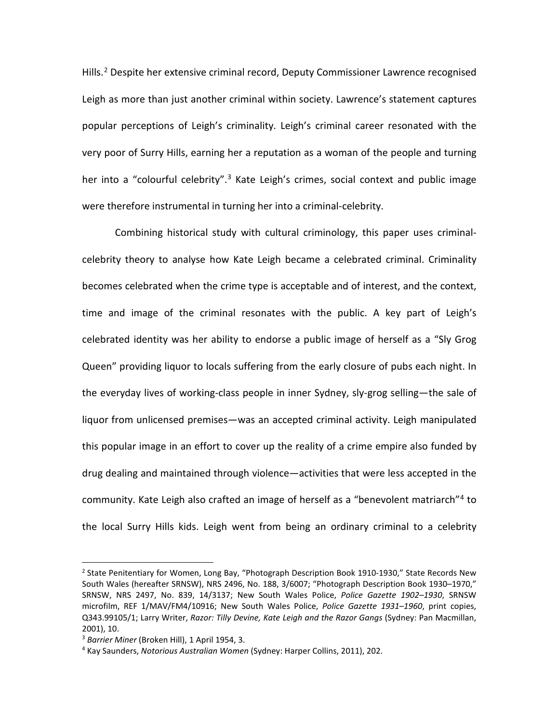Hills.<sup>[2](#page-3-0)</sup> Despite her extensive criminal record, Deputy Commissioner Lawrence recognised Leigh as more than just another criminal within society. Lawrence's statement captures popular perceptions of Leigh's criminality. Leigh's criminal career resonated with the very poor of Surry Hills, earning her a reputation as a woman of the people and turning her into a "colourful celebrity".<sup>[3](#page-3-1)</sup> Kate Leigh's crimes, social context and public image were therefore instrumental in turning her into a criminal-celebrity.

Combining historical study with cultural criminology, this paper uses criminalcelebrity theory to analyse how Kate Leigh became a celebrated criminal. Criminality becomes celebrated when the crime type is acceptable and of interest, and the context, time and image of the criminal resonates with the public. A key part of Leigh's celebrated identity was her ability to endorse a public image of herself as a "Sly Grog Queen" providing liquor to locals suffering from the early closure of pubs each night. In the everyday lives of working-class people in inner Sydney, sly-grog selling—the sale of liquor from unlicensed premises—was an accepted criminal activity. Leigh manipulated this popular image in an effort to cover up the reality of a crime empire also funded by drug dealing and maintained through violence—activities that were less accepted in the community. Kate Leigh also crafted an image of herself as a "benevolent matriarch"<sup>[4](#page-3-2)</sup> to the local Surry Hills kids. Leigh went from being an ordinary criminal to a celebrity

<span id="page-3-0"></span><sup>&</sup>lt;sup>2</sup> State Penitentiary for Women, Long Bay, "Photograph Description Book 1910-1930," State Records New South Wales (hereafter SRNSW), NRS 2496, No. 188, 3/6007; "Photograph Description Book 1930–1970," SRNSW, NRS 2497, No. 839, 14/3137; New South Wales Police, *Police Gazette 1902–1930*, SRNSW microfilm, REF 1/MAV/FM4/10916; New South Wales Police, *Police Gazette 1931–1960*, print copies, Q343.99105/1; Larry Writer, *Razor: Tilly Devine, Kate Leigh and the Razor Gangs* (Sydney: Pan Macmillan, 2001), 10. l

<span id="page-3-1"></span><sup>3</sup> *Barrier Miner* (Broken Hill), 1 April 1954, 3.

<span id="page-3-2"></span><sup>4</sup> Kay Saunders, *Notorious Australian Women* (Sydney: Harper Collins, 2011), 202.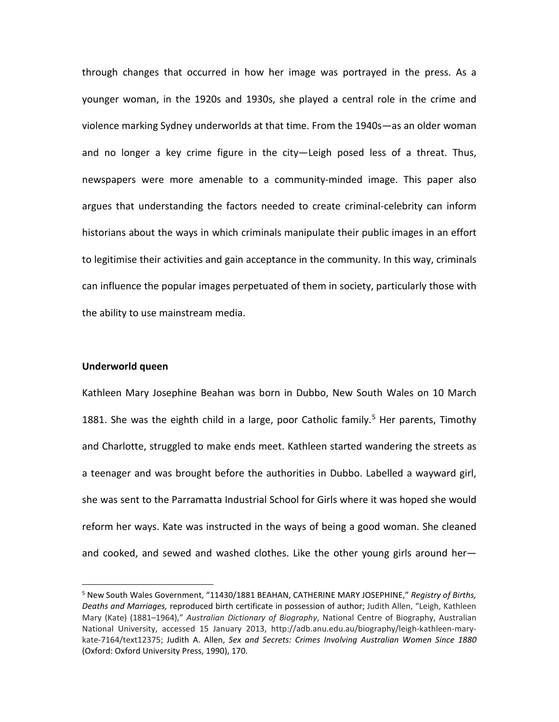through changes that occurred in how her image was portrayed in the press. As a younger woman, in the 1920s and 1930s, she played a central role in the crime and violence marking Sydney underworlds at that time. From the 1940s—as an older woman and no longer a key crime figure in the city—Leigh posed less of a threat. Thus, newspapers were more amenable to a community-minded image. This paper also argues that understanding the factors needed to create criminal-celebrity can inform historians about the ways in which criminals manipulate their public images in an effort to legitimise their activities and gain acceptance in the community. In this way, criminals can influence the popular images perpetuated of them in society, particularly those with the ability to use mainstream media.

#### **Underworld queen**

Kathleen Mary Josephine Beahan was born in Dubbo, New South Wales on 10 March 1881. She was the eighth child in a large, poor Catholic family.<sup>[5](#page-4-0)</sup> Her parents, Timothy and Charlotte, struggled to make ends meet. Kathleen started wandering the streets as a teenager and was brought before the authorities in Dubbo. Labelled a wayward girl, she was sent to the Parramatta Industrial School for Girls where it was hoped she would reform her ways. Kate was instructed in the ways of being a good woman. She cleaned and cooked, and sewed and washed clothes. Like the other young girls around her—

<span id="page-4-0"></span><sup>5</sup> New South Wales Government, "11430/1881 BEAHAN, CATHERINE MARY JOSEPHINE," *Registry of Births, Deaths and Marriages,* reproduced birth certificate in possession of author; Judith Allen, "Leigh, Kathleen Mary (Kate) (1881–1964)," *Australian Dictionary of Biography*, National Centre of Biography, Australian National University, accessed 15 January 2013, http://adb.anu.edu.au/biography/leigh-kathleen-marykate-7164/text12375; Judith A. Allen, *Sex and Secrets: Crimes Involving Australian Women Since 1880*  (Oxford: Oxford University Press, 1990), 170. l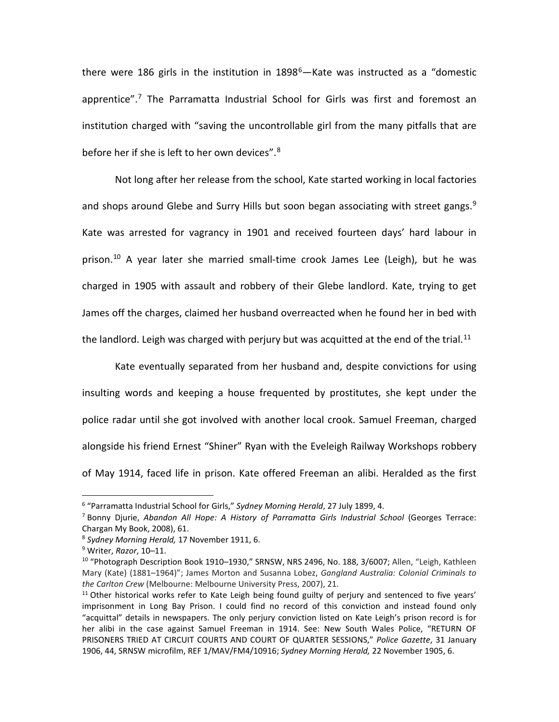there were 186 girls in the institution in  $1898^6$ —Kate was instructed as a "domestic apprentice".<sup>[7](#page-5-1)</sup> The Parramatta Industrial School for Girls was first and foremost an institution charged with "saving the uncontrollable girl from the many pitfalls that are before her if she is left to her own devices".<sup>[8](#page-5-2)</sup>

Not long after her release from the school, Kate started working in local factories and shops around Glebe and Surry Hills but soon began associating with street gangs.<sup>[9](#page-5-3)</sup> Kate was arrested for vagrancy in 1901 and received fourteen days' hard labour in prison.<sup>[10](#page-5-4)</sup> A year later she married small-time crook James Lee (Leigh), but he was charged in 1905 with assault and robbery of their Glebe landlord. Kate, trying to get James off the charges, claimed her husband overreacted when he found her in bed with the landlord. Leigh was charged with perjury but was acquitted at the end of the trial.<sup>[11](#page-5-5)</sup>

Kate eventually separated from her husband and, despite convictions for using insulting words and keeping a house frequented by prostitutes, she kept under the police radar until she got involved with another local crook. Samuel Freeman, charged alongside his friend Ernest "Shiner" Ryan with the Eveleigh Railway Workshops robbery of May 1914, faced life in prison. Kate offered Freeman an alibi. Heralded as the first

<span id="page-5-0"></span><sup>6</sup> "Parramatta Industrial School for Girls," *Sydney Morning Herald*, 27 July 1899, 4.  $\overline{\phantom{a}}$ 

<span id="page-5-1"></span><sup>7</sup> Bonny Djurie, *Abandon All Hope: A History of Parramatta Girls Industrial School* (Georges Terrace: Chargan My Book, 2008), 61.

<span id="page-5-2"></span><sup>8</sup> *Sydney Morning Herald,* 17 November 1911, 6.

<span id="page-5-3"></span><sup>9</sup> Writer, *Razor*, 10–11.

<span id="page-5-4"></span><sup>&</sup>lt;sup>10</sup> "Photograph Description Book 1910–1930," SRNSW, NRS 2496, No. 188, 3/6007; Allen, "Leigh, Kathleen Mary (Kate) (1881–1964)"; James Morton and Susanna Lobez, *Gangland Australia: Colonial Criminals to the Carlton Crew* (Melbourne: Melbourne University Press, 2007), 21.

<span id="page-5-5"></span> $11$  Other historical works refer to Kate Leigh being found guilty of perjury and sentenced to five years' imprisonment in Long Bay Prison. I could find no record of this conviction and instead found only "acquittal" details in newspapers. The only perjury conviction listed on Kate Leigh's prison record is for her alibi in the case against Samuel Freeman in 1914. See: New South Wales Police, "RETURN OF PRISONERS TRIED AT CIRCUIT COURTS AND COURT OF QUARTER SESSIONS," *Police Gazette*, 31 January 1906, 44, SRNSW microfilm, REF 1/MAV/FM4/10916; *Sydney Morning Herald,* 22 November 1905, 6.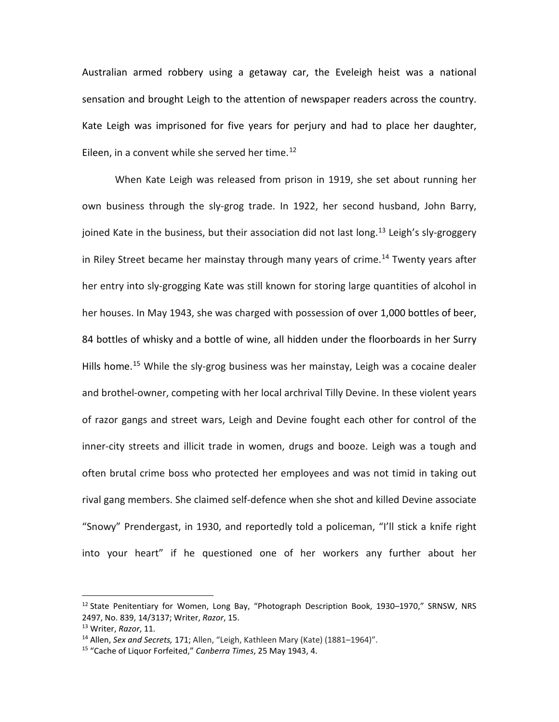Australian armed robbery using a getaway car, the Eveleigh heist was a national sensation and brought Leigh to the attention of newspaper readers across the country. Kate Leigh was imprisoned for five years for perjury and had to place her daughter, Eileen, in a convent while she served her time.<sup>[12](#page-6-0)</sup>

When Kate Leigh was released from prison in 1919, she set about running her own business through the sly-grog trade. In 1922, her second husband, John Barry, joined Kate in the business, but their association did not last long.<sup>[13](#page-6-1)</sup> Leigh's sly-groggery in Riley Street became her mainstay through many years of crime.<sup>[14](#page-6-2)</sup> Twenty years after her entry into sly-grogging Kate was still known for storing large quantities of alcohol in her houses. In May 1943, she was charged with possession of over 1,000 bottles of beer, 84 bottles of whisky and a bottle of wine, all hidden under the floorboards in her Surry Hills home.<sup>[15](#page-6-3)</sup> While the sly-grog business was her mainstay, Leigh was a cocaine dealer and brothel-owner, competing with her local archrival Tilly Devine. In these violent years of razor gangs and street wars, Leigh and Devine fought each other for control of the inner-city streets and illicit trade in women, drugs and booze. Leigh was a tough and often brutal crime boss who protected her employees and was not timid in taking out rival gang members. She claimed self-defence when she shot and killed Devine associate "Snowy" Prendergast, in 1930, and reportedly told a policeman, "I'll stick a knife right into your heart" if he questioned one of her workers any further about her

<span id="page-6-0"></span><sup>&</sup>lt;sup>12</sup> State Penitentiary for Women, Long Bay, "Photograph Description Book, 1930–1970," SRNSW, NRS 2497, No. 839, 14/3137; Writer, *Razor*, 15. j

<span id="page-6-1"></span><sup>13</sup> Writer, *Razor*, 11.

<span id="page-6-2"></span><sup>14</sup> Allen, *Sex and Secrets,* 171; Allen, "Leigh, Kathleen Mary (Kate) (1881–1964)".

<span id="page-6-3"></span><sup>15</sup> "Cache of Liquor Forfeited," *Canberra Times*, 25 May 1943, 4.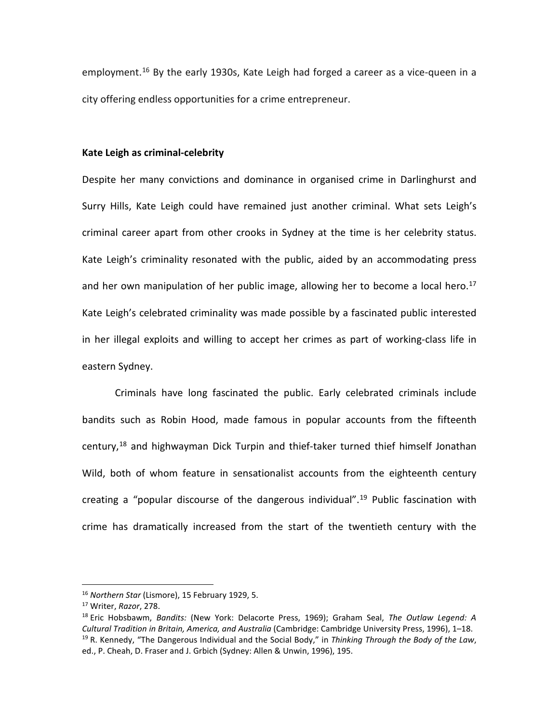employment.[16](#page-7-0) By the early 1930s, Kate Leigh had forged a career as a vice-queen in a city offering endless opportunities for a crime entrepreneur.

#### **Kate Leigh as criminal-celebrity**

Despite her many convictions and dominance in organised crime in Darlinghurst and Surry Hills, Kate Leigh could have remained just another criminal. What sets Leigh's criminal career apart from other crooks in Sydney at the time is her celebrity status. Kate Leigh's criminality resonated with the public, aided by an accommodating press and her own manipulation of her public image, allowing her to become a local hero.<sup>[17](#page-7-1)</sup> Kate Leigh's celebrated criminality was made possible by a fascinated public interested in her illegal exploits and willing to accept her crimes as part of working-class life in eastern Sydney.

Criminals have long fascinated the public. Early celebrated criminals include bandits such as Robin Hood, made famous in popular accounts from the fifteenth century,[18](#page-7-2) and highwayman Dick Turpin and thief-taker turned thief himself Jonathan Wild, both of whom feature in sensationalist accounts from the eighteenth century creating a "popular discourse of the dangerous individual". [19](#page-7-3) Public fascination with crime has dramatically increased from the start of the twentieth century with the

<sup>16</sup> *Northern Star* (Lismore), 15 February 1929, 5. j

<span id="page-7-1"></span><span id="page-7-0"></span><sup>17</sup> Writer, *Razor*, 278.

<span id="page-7-3"></span><span id="page-7-2"></span><sup>18</sup> Eric Hobsbawm, *Bandits:* (New York: Delacorte Press, 1969); Graham Seal, *The Outlaw Legend: A Cultural Tradition in Britain, America, and Australia* (Cambridge: Cambridge University Press, 1996), 1–18. <sup>19</sup> R. Kennedy, "The Dangerous Individual and the Social Body," in *Thinking Through the Body of the Law*, ed., P. Cheah, D. Fraser and J. Grbich (Sydney: Allen & Unwin, 1996), 195.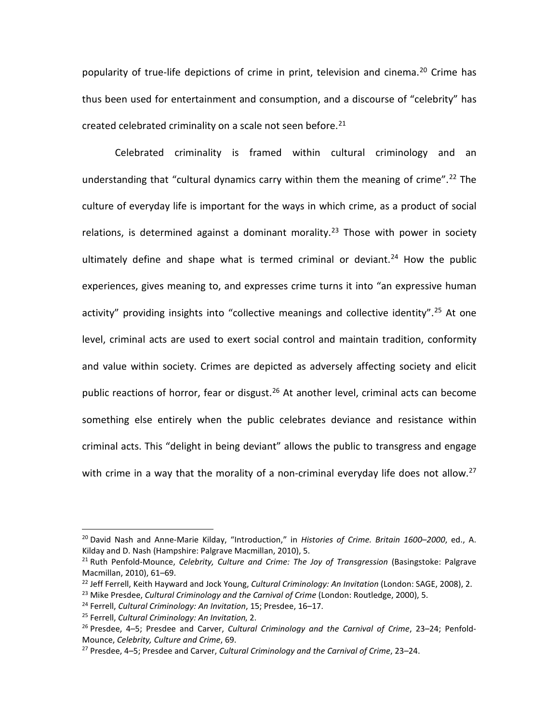popularity of true-life depictions of crime in print, television and cinema.<sup>[20](#page-8-0)</sup> Crime has thus been used for entertainment and consumption, and a discourse of "celebrity" has created celebrated criminality on a scale not seen before. $21$ 

Celebrated criminality is framed within cultural criminology and an understanding that "cultural dynamics carry within them the meaning of crime". [22](#page-8-2) The culture of everyday life is important for the ways in which crime, as a product of social relations, is determined against a dominant morality.<sup>[23](#page-8-3)</sup> Those with power in society ultimately define and shape what is termed criminal or deviant.<sup>[24](#page-8-4)</sup> How the public experiences, gives meaning to, and expresses crime turns it into "an expressive human activity" providing insights into "collective meanings and collective identity".<sup>[25](#page-8-5)</sup> At one level, criminal acts are used to exert social control and maintain tradition, conformity and value within society. Crimes are depicted as adversely affecting society and elicit public reactions of horror, fear or disgust. $26$  At another level, criminal acts can become something else entirely when the public celebrates deviance and resistance within criminal acts. This "delight in being deviant" allows the public to transgress and engage with crime in a way that the morality of a non-criminal everyday life does not allow.<sup>[27](#page-8-7)</sup>

<span id="page-8-0"></span><sup>20</sup> David Nash and Anne-Marie Kilday, "Introduction," in *Histories of Crime. Britain 1600–2000*, ed., A. Kilday and D. Nash (Hampshire: Palgrave Macmillan, 2010), 5.  $\overline{a}$ 

<span id="page-8-1"></span><sup>&</sup>lt;sup>21</sup> Ruth Penfold-Mounce, *Celebrity, Culture and Crime: The Joy of Transgression* (Basingstoke: Palgrave Macmillan, 2010), 61–69.

<span id="page-8-2"></span><sup>22</sup> Jeff Ferrell, Keith Hayward and Jock Young, *Cultural Criminology: An Invitation* (London: SAGE, 2008), 2.

<span id="page-8-3"></span><sup>&</sup>lt;sup>23</sup> Mike Presdee, *Cultural Criminology and the Carnival of Crime* (London: Routledge, 2000), 5.

<span id="page-8-4"></span><sup>24</sup> Ferrell, *Cultural Criminology: An Invitation*, 15; Presdee, 16–17.

<span id="page-8-6"></span><span id="page-8-5"></span><sup>&</sup>lt;sup>25</sup> Ferrell, Cultural Criminology: An Invitation, 2.<br><sup>26</sup> Presdee, 4–5; Presdee and Carver, Cultural Criminology and the Carnival of Crime, 23–24; Penfold-Mounce, *Celebrity, Culture and Crime*, 69.

<span id="page-8-7"></span><sup>27</sup> Presdee, 4–5; Presdee and Carver, *Cultural Criminology and the Carnival of Crime*, 23–24.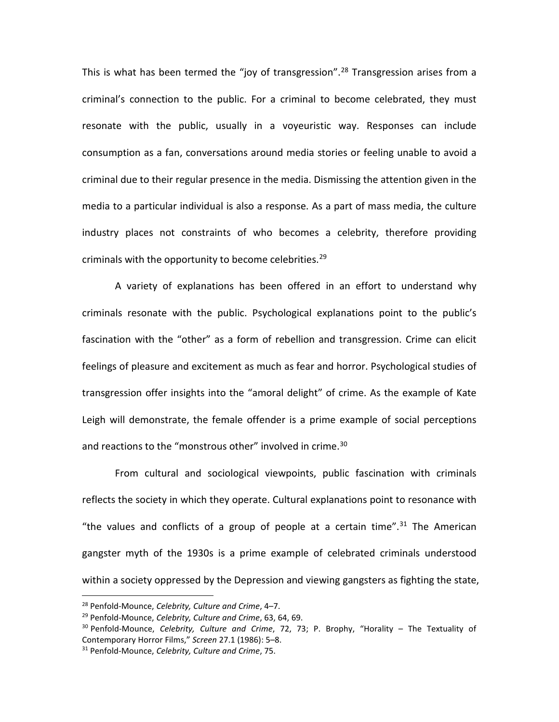This is what has been termed the "joy of transgression".<sup>[28](#page-9-0)</sup> Transgression arises from a criminal's connection to the public. For a criminal to become celebrated, they must resonate with the public, usually in a voyeuristic way. Responses can include consumption as a fan, conversations around media stories or feeling unable to avoid a criminal due to their regular presence in the media. Dismissing the attention given in the media to a particular individual is also a response. As a part of mass media, the culture industry places not constraints of who becomes a celebrity, therefore providing criminals with the opportunity to become celebrities. [29](#page-9-1)

A variety of explanations has been offered in an effort to understand why criminals resonate with the public. Psychological explanations point to the public's fascination with the "other" as a form of rebellion and transgression. Crime can elicit feelings of pleasure and excitement as much as fear and horror. Psychological studies of transgression offer insights into the "amoral delight" of crime. As the example of Kate Leigh will demonstrate, the female offender is a prime example of social perceptions and reactions to the "monstrous other" involved in crime.<sup>30</sup>

From cultural and sociological viewpoints, public fascination with criminals reflects the society in which they operate. Cultural explanations point to resonance with "the values and conflicts of a group of people at a certain time".<sup>[31](#page-9-3)</sup> The American gangster myth of the 1930s is a prime example of celebrated criminals understood within a society oppressed by the Depression and viewing gangsters as fighting the state,

<span id="page-9-0"></span><sup>28</sup> Penfold-Mounce, *Celebrity, Culture and Crime*, 4–7.  $\overline{a}$ 

<span id="page-9-1"></span><sup>29</sup> Penfold-Mounce, *Celebrity, Culture and Crime*, 63, 64, 69.

<span id="page-9-2"></span><sup>30</sup> Penfold-Mounce, *Celebrity, Culture and Crime*, 72, 73; P. Brophy, "Horality – The Textuality of Contemporary Horror Films," *Screen* 27.1 (1986): 5–8.

<span id="page-9-3"></span><sup>31</sup> Penfold-Mounce, *Celebrity, Culture and Crime*, 75.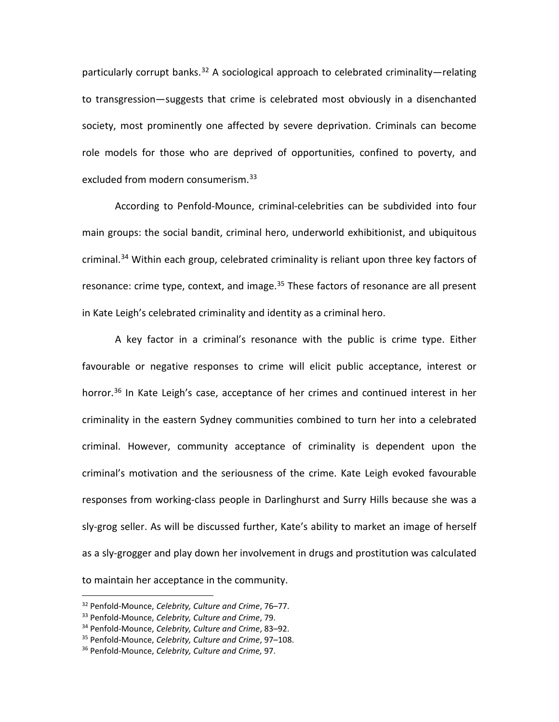particularly corrupt banks.<sup>[32](#page-10-0)</sup> A sociological approach to celebrated criminality—relating to transgression—suggests that crime is celebrated most obviously in a disenchanted society, most prominently one affected by severe deprivation. Criminals can become role models for those who are deprived of opportunities, confined to poverty, and excluded from modern consumerism.<sup>33</sup>

According to Penfold-Mounce, criminal-celebrities can be subdivided into four main groups: the social bandit, criminal hero, underworld exhibitionist, and ubiquitous criminal.<sup>[34](#page-10-2)</sup> Within each group, celebrated criminality is reliant upon three key factors of resonance: crime type, context, and image.<sup>[35](#page-10-3)</sup> These factors of resonance are all present in Kate Leigh's celebrated criminality and identity as a criminal hero.

A key factor in a criminal's resonance with the public is crime type. Either favourable or negative responses to crime will elicit public acceptance, interest or horror.<sup>[36](#page-10-4)</sup> In Kate Leigh's case, acceptance of her crimes and continued interest in her criminality in the eastern Sydney communities combined to turn her into a celebrated criminal. However, community acceptance of criminality is dependent upon the criminal's motivation and the seriousness of the crime. Kate Leigh evoked favourable responses from working-class people in Darlinghurst and Surry Hills because she was a sly-grog seller. As will be discussed further, Kate's ability to market an image of herself as a sly-grogger and play down her involvement in drugs and prostitution was calculated to maintain her acceptance in the community.

<sup>32</sup> Penfold-Mounce, *Celebrity, Culture and Crime*, 76–77.  $\overline{a}$ 

<span id="page-10-1"></span><span id="page-10-0"></span><sup>33</sup> Penfold-Mounce, *Celebrity, Culture and Crime*, 79.

<span id="page-10-2"></span><sup>34</sup> Penfold-Mounce, *Celebrity, Culture and Crime*, 83–92.

<span id="page-10-3"></span><sup>35</sup> Penfold-Mounce, *Celebrity, Culture and Crime*, 97–108.

<span id="page-10-4"></span><sup>36</sup> Penfold-Mounce, *Celebrity, Culture and Crime,* 97.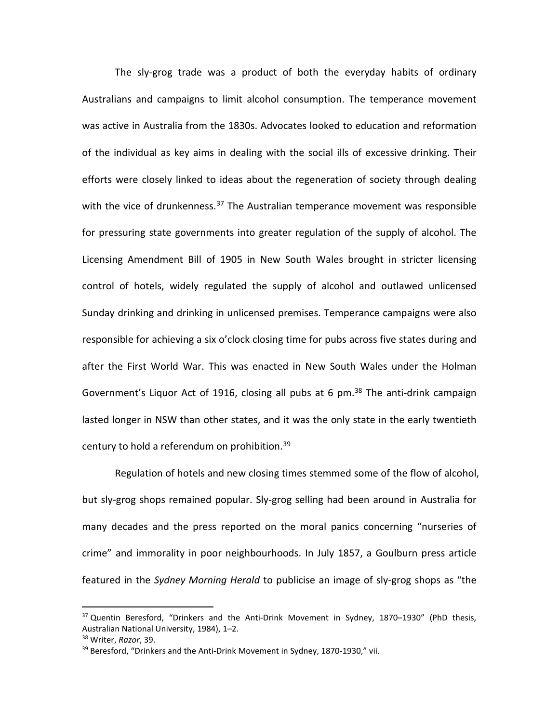The sly-grog trade was a product of both the everyday habits of ordinary Australians and campaigns to limit alcohol consumption. The temperance movement was active in Australia from the 1830s. Advocates looked to education and reformation of the individual as key aims in dealing with the social ills of excessive drinking. Their efforts were closely linked to ideas about the regeneration of society through dealing with the vice of drunkenness.<sup>[37](#page-11-0)</sup> The Australian temperance movement was responsible for pressuring state governments into greater regulation of the supply of alcohol. The Licensing Amendment Bill of 1905 in New South Wales brought in stricter licensing control of hotels, widely regulated the supply of alcohol and outlawed unlicensed Sunday drinking and drinking in unlicensed premises. Temperance campaigns were also responsible for achieving a six o'clock closing time for pubs across five states during and after the First World War. This was enacted in New South Wales under the Holman Government's Liquor Act of 1916, closing all pubs at 6 pm.<sup>[38](#page-11-1)</sup> The anti-drink campaign lasted longer in NSW than other states, and it was the only state in the early twentieth century to hold a referendum on prohibition.<sup>[39](#page-11-2)</sup>

Regulation of hotels and new closing times stemmed some of the flow of alcohol, but sly-grog shops remained popular. Sly-grog selling had been around in Australia for many decades and the press reported on the moral panics concerning "nurseries of crime" and immorality in poor neighbourhoods. In July 1857, a Goulburn press article featured in the *Sydney Morning Herald* to publicise an image of sly-grog shops as "the

<span id="page-11-0"></span><sup>&</sup>lt;sup>37</sup> Quentin Beresford, "Drinkers and the Anti-Drink Movement in Sydney, 1870–1930" (PhD thesis, Australian National University, 1984), 1–2. j

<span id="page-11-1"></span><sup>38</sup> Writer, *Razor*, 39.

<span id="page-11-2"></span><sup>&</sup>lt;sup>39</sup> Beresford, "Drinkers and the Anti-Drink Movement in Sydney, 1870-1930," vii.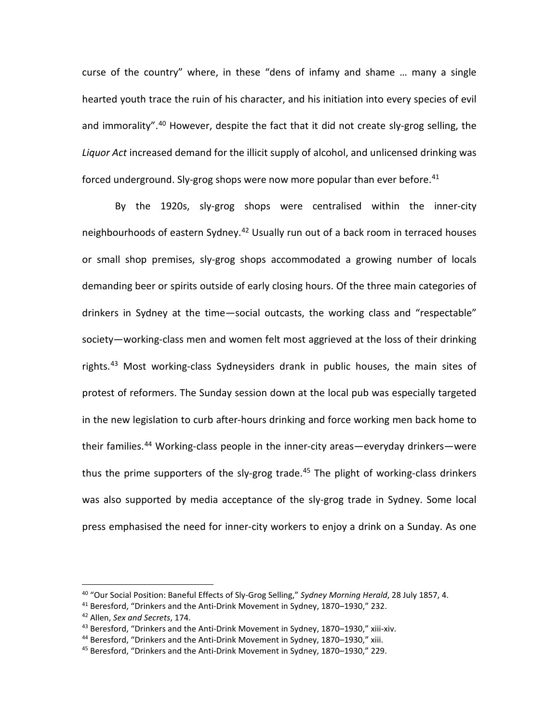curse of the country" where, in these "dens of infamy and shame … many a single hearted youth trace the ruin of his character, and his initiation into every species of evil and immorality".<sup>[40](#page-12-0)</sup> However, despite the fact that it did not create sly-grog selling, the *Liquor Act* increased demand for the illicit supply of alcohol, and unlicensed drinking was forced underground. Sly-grog shops were now more popular than ever before.<sup>[41](#page-12-1)</sup>

By the 1920s, sly-grog shops were centralised within the inner-city neighbourhoods of eastern Sydney.<sup>[42](#page-12-2)</sup> Usually run out of a back room in terraced houses or small shop premises, sly-grog shops accommodated a growing number of locals demanding beer or spirits outside of early closing hours. Of the three main categories of drinkers in Sydney at the time—social outcasts, the working class and "respectable" society—working-class men and women felt most aggrieved at the loss of their drinking rights.<sup>[43](#page-12-3)</sup> Most working-class Sydneysiders drank in public houses, the main sites of protest of reformers. The Sunday session down at the local pub was especially targeted in the new legislation to curb after-hours drinking and force working men back home to their families.<sup>[44](#page-12-4)</sup> Working-class people in the inner-city areas—everyday drinkers—were thus the prime supporters of the sly-grog trade.<sup>[45](#page-12-5)</sup> The plight of working-class drinkers was also supported by media acceptance of the sly-grog trade in Sydney. Some local press emphasised the need for inner-city workers to enjoy a drink on a Sunday. As one

<sup>40</sup> "Our Social Position: Baneful Effects of Sly-Grog Selling," *Sydney Morning Herald*, 28 July 1857, 4. l

<span id="page-12-1"></span><span id="page-12-0"></span><sup>41</sup> Beresford, "Drinkers and the Anti-Drink Movement in Sydney, 1870–1930," 232.

<span id="page-12-2"></span><sup>42</sup> Allen, *Sex and Secrets*, 174.

<span id="page-12-3"></span><sup>&</sup>lt;sup>43</sup> Beresford, "Drinkers and the Anti-Drink Movement in Sydney, 1870–1930," xiii-xiv.

<span id="page-12-4"></span><sup>&</sup>lt;sup>44</sup> Beresford, "Drinkers and the Anti-Drink Movement in Sydney, 1870–1930," xiii.

<span id="page-12-5"></span><sup>45</sup> Beresford, "Drinkers and the Anti-Drink Movement in Sydney, 1870–1930," 229.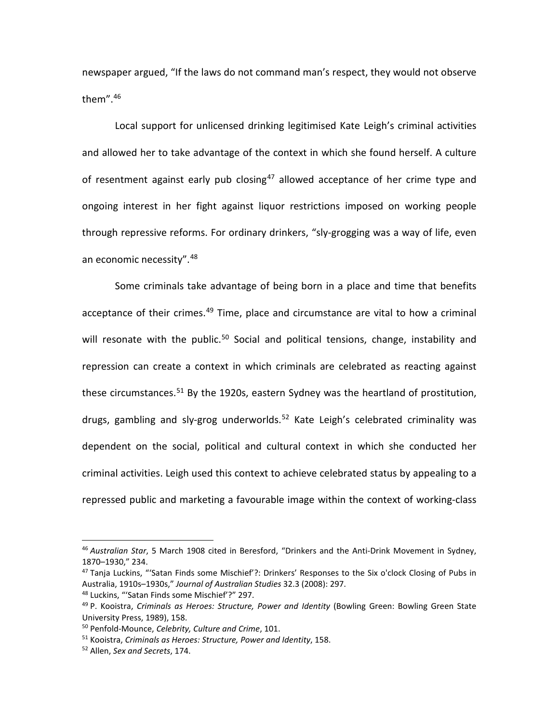newspaper argued, "If the laws do not command man's respect, they would not observe them". [46](#page-13-0)

Local support for unlicensed drinking legitimised Kate Leigh's criminal activities and allowed her to take advantage of the context in which she found herself. A culture of resentment against early pub closing<sup>[47](#page-13-1)</sup> allowed acceptance of her crime type and ongoing interest in her fight against liquor restrictions imposed on working people through repressive reforms. For ordinary drinkers, "sly-grogging was a way of life, even an economic necessity". <sup>[48](#page-13-2)</sup>

Some criminals take advantage of being born in a place and time that benefits acceptance of their crimes.<sup>[49](#page-13-3)</sup> Time, place and circumstance are vital to how a criminal will resonate with the public.<sup>[50](#page-13-4)</sup> Social and political tensions, change, instability and repression can create a context in which criminals are celebrated as reacting against these circumstances.<sup>[51](#page-13-5)</sup> By the 1920s, eastern Sydney was the heartland of prostitution, drugs, gambling and sly-grog underworlds.<sup>[52](#page-13-6)</sup> Kate Leigh's celebrated criminality was dependent on the social, political and cultural context in which she conducted her criminal activities. Leigh used this context to achieve celebrated status by appealing to a repressed public and marketing a favourable image within the context of working-class

<span id="page-13-0"></span><sup>46</sup> *Australian Star*, 5 March 1908 cited in Beresford, "Drinkers and the Anti-Drink Movement in Sydney, 1870–1930," 234. l

<span id="page-13-1"></span><sup>&</sup>lt;sup>47</sup> Tanja Luckins, "'Satan Finds some Mischief'?: Drinkers' Responses to the Six o'clock Closing of Pubs in Australia, 1910s–1930s," *Journal of Australian Studies* 32.3 (2008): 297.

<span id="page-13-2"></span><sup>48</sup> Luckins, "'Satan Finds some Mischief'?" 297.

<span id="page-13-3"></span><sup>49</sup> P. Kooistra, *Criminals as Heroes: Structure, Power and Identity* (Bowling Green: Bowling Green State University Press, 1989), 158.

<span id="page-13-4"></span><sup>50</sup> Penfold-Mounce, *Celebrity, Culture and Crime*, 101.

<span id="page-13-5"></span><sup>51</sup> Kooistra, *Criminals as Heroes: Structure, Power and Identity*, 158.

<span id="page-13-6"></span><sup>52</sup> Allen, *Sex and Secrets*, 174.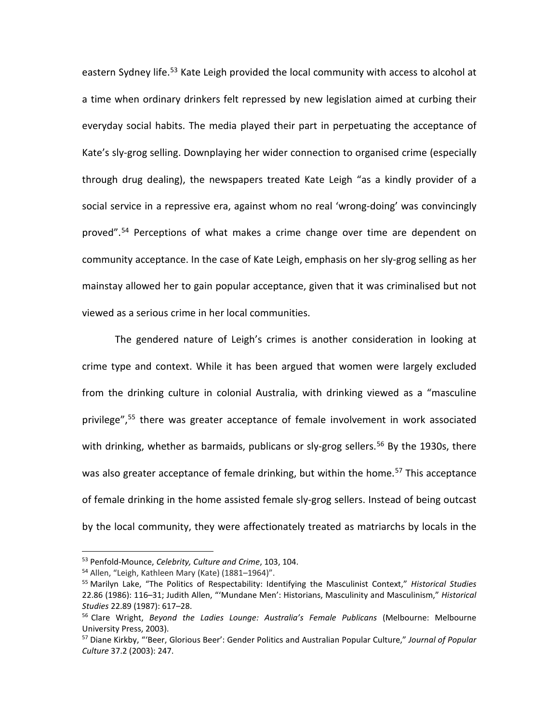eastern Sydney life.<sup>[53](#page-14-0)</sup> Kate Leigh provided the local community with access to alcohol at a time when ordinary drinkers felt repressed by new legislation aimed at curbing their everyday social habits. The media played their part in perpetuating the acceptance of Kate's sly-grog selling. Downplaying her wider connection to organised crime (especially through drug dealing), the newspapers treated Kate Leigh "as a kindly provider of a social service in a repressive era, against whom no real 'wrong-doing' was convincingly proved". [54](#page-14-1) Perceptions of what makes a crime change over time are dependent on community acceptance. In the case of Kate Leigh, emphasis on her sly-grog selling as her mainstay allowed her to gain popular acceptance, given that it was criminalised but not viewed as a serious crime in her local communities.

The gendered nature of Leigh's crimes is another consideration in looking at crime type and context. While it has been argued that women were largely excluded from the drinking culture in colonial Australia, with drinking viewed as a "masculine privilege", [55](#page-14-2) there was greater acceptance of female involvement in work associated with drinking, whether as barmaids, publicans or sly-grog sellers.<sup>[56](#page-14-3)</sup> By the 1930s, there was also greater acceptance of female drinking, but within the home.<sup>[57](#page-14-4)</sup> This acceptance of female drinking in the home assisted female sly-grog sellers. Instead of being outcast by the local community, they were affectionately treated as matriarchs by locals in the

<span id="page-14-0"></span><sup>53</sup> Penfold-Mounce, *Celebrity, Culture and Crime*, 103, 104. į

<span id="page-14-1"></span><sup>54</sup> Allen, "Leigh, Kathleen Mary (Kate) (1881–1964)".

<span id="page-14-2"></span><sup>55</sup> Marilyn Lake, "The Politics of Respectability: Identifying the Masculinist Context," *Historical Studies* 22.86 (1986): 116–31; Judith Allen, "'Mundane Men': Historians, Masculinity and Masculinism," *Historical Studies* 22.89 (1987): 617–28.

<span id="page-14-3"></span><sup>56</sup> Clare Wright, *Beyond the Ladies Lounge: Australia's Female Publicans* (Melbourne: Melbourne University Press, 2003).

<span id="page-14-4"></span><sup>57</sup> Diane Kirkby, "'Beer, Glorious Beer': Gender Politics and Australian Popular Culture," *Journal of Popular Culture* 37.2 (2003): 247.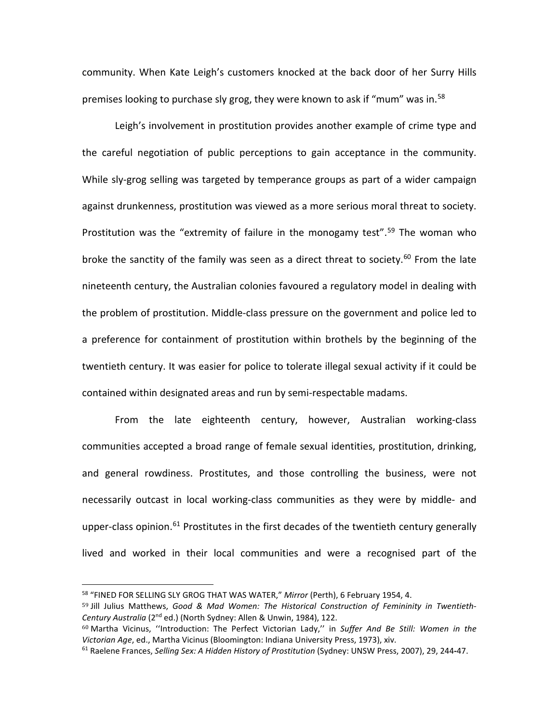community. When Kate Leigh's customers knocked at the back door of her Surry Hills premises looking to purchase sly grog, they were known to ask if "mum" was in.[58](#page-15-0)

Leigh's involvement in prostitution provides another example of crime type and the careful negotiation of public perceptions to gain acceptance in the community. While sly-grog selling was targeted by temperance groups as part of a wider campaign against drunkenness, prostitution was viewed as a more serious moral threat to society. Prostitution was the "extremity of failure in the monogamy test".<sup>[59](#page-15-1)</sup> The woman who broke the sanctity of the family was seen as a direct threat to society.<sup>[60](#page-15-2)</sup> From the late nineteenth century, the Australian colonies favoured a regulatory model in dealing with the problem of prostitution. Middle-class pressure on the government and police led to a preference for containment of prostitution within brothels by the beginning of the twentieth century. It was easier for police to tolerate illegal sexual activity if it could be contained within designated areas and run by semi-respectable madams.

From the late eighteenth century, however, Australian working-class communities accepted a broad range of female sexual identities, prostitution, drinking, and general rowdiness. Prostitutes, and those controlling the business, were not necessarily outcast in local working-class communities as they were by middle- and upper-class opinion.<sup>61</sup> Prostitutes in the first decades of the twentieth century generally lived and worked in their local communities and were a recognised part of the

<sup>58</sup> "FINED FOR SELLING SLY GROG THAT WAS WATER," *Mirror* (Perth), 6 February 1954, 4. l

<span id="page-15-1"></span><span id="page-15-0"></span><sup>59</sup> Jill Julius Matthews, *Good & Mad Women: The Historical Construction of Femininity in Twentieth-Century Australia* (2nd ed.) (North Sydney: Allen & Unwin, 1984), 122.

<span id="page-15-2"></span><sup>60</sup> Martha Vicinus, ''Introduction: The Perfect Victorian Lady,'' in *Suffer And Be Still: Women in the Victorian Age*, ed., Martha Vicinus (Bloomington: Indiana University Press, 1973), xiv.

<span id="page-15-3"></span><sup>61</sup> Raelene Frances, *Selling Sex: A Hidden History of Prostitution* (Sydney: UNSW Press, 2007), 29, 244**-**47.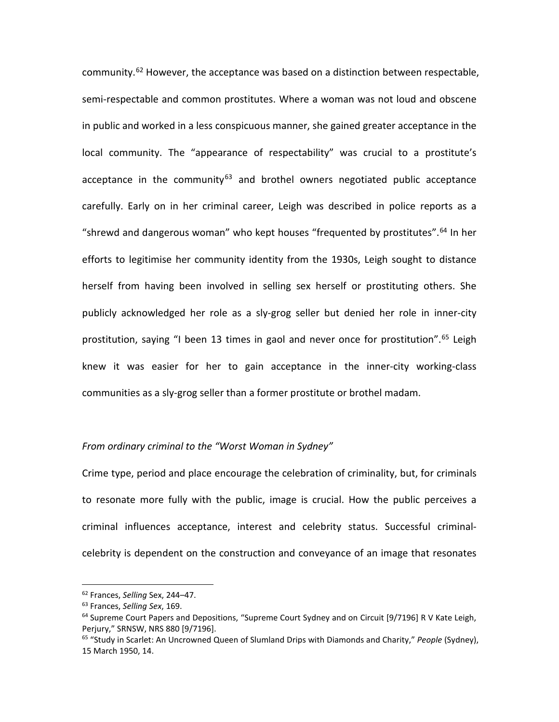community.<sup>[62](#page-16-0)</sup> However, the acceptance was based on a distinction between respectable, semi-respectable and common prostitutes. Where a woman was not loud and obscene in public and worked in a less conspicuous manner, she gained greater acceptance in the local community. The "appearance of respectability" was crucial to a prostitute's acceptance in the community<sup>[63](#page-16-1)</sup> and brothel owners negotiated public acceptance carefully. Early on in her criminal career, Leigh was described in police reports as a "shrewd and dangerous woman" who kept houses "frequented by prostitutes".[64](#page-16-2) In her efforts to legitimise her community identity from the 1930s, Leigh sought to distance herself from having been involved in selling sex herself or prostituting others. She publicly acknowledged her role as a sly-grog seller but denied her role in inner-city prostitution, saying "I been 13 times in gaol and never once for prostitution".<sup>[65](#page-16-3)</sup> Leigh knew it was easier for her to gain acceptance in the inner-city working-class communities as a sly-grog seller than a former prostitute or brothel madam.

### *From ordinary criminal to the "Worst Woman in Sydney"*

Crime type, period and place encourage the celebration of criminality, but, for criminals to resonate more fully with the public, image is crucial. How the public perceives a criminal influences acceptance, interest and celebrity status. Successful criminalcelebrity is dependent on the construction and conveyance of an image that resonates

<sup>62</sup> Frances, *Selling* Sex, 244–47. j

<span id="page-16-1"></span><span id="page-16-0"></span><sup>63</sup> Frances, *Selling Sex*, 169.

<span id="page-16-2"></span><sup>&</sup>lt;sup>64</sup> Supreme Court Papers and Depositions, "Supreme Court Sydney and on Circuit [9/7196] R V Kate Leigh, Perjury," SRNSW, NRS 880 [9/7196].

<span id="page-16-3"></span><sup>65</sup> "Study in Scarlet: An Uncrowned Queen of Slumland Drips with Diamonds and Charity," *People* (Sydney), 15 March 1950, 14.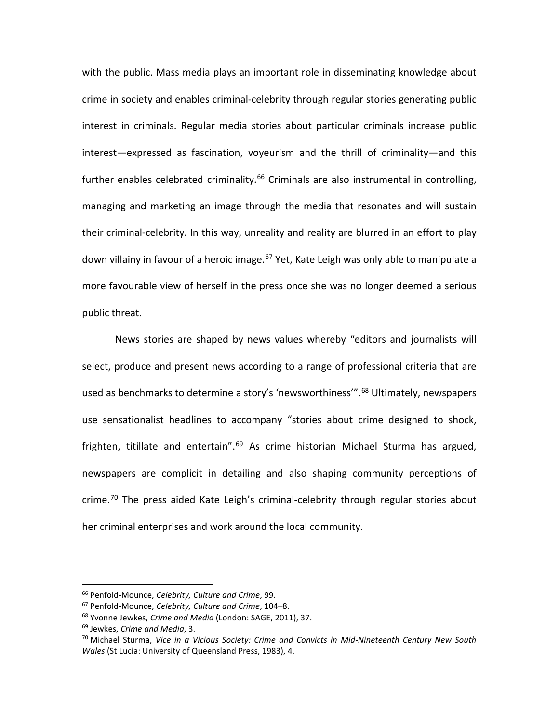with the public. Mass media plays an important role in disseminating knowledge about crime in society and enables criminal-celebrity through regular stories generating public interest in criminals. Regular media stories about particular criminals increase public interest—expressed as fascination, voyeurism and the thrill of criminality—and this further enables celebrated criminality.<sup>[66](#page-17-0)</sup> Criminals are also instrumental in controlling, managing and marketing an image through the media that resonates and will sustain their criminal-celebrity. In this way, unreality and reality are blurred in an effort to play down villainy in favour of a heroic image.<sup>[67](#page-17-1)</sup> Yet, Kate Leigh was only able to manipulate a more favourable view of herself in the press once she was no longer deemed a serious public threat.

News stories are shaped by news values whereby "editors and journalists will select, produce and present news according to a range of professional criteria that are used as benchmarks to determine a story's 'newsworthiness'". [68](#page-17-2) Ultimately, newspapers use sensationalist headlines to accompany "stories about crime designed to shock, frighten, titillate and entertain". [69](#page-17-3) As crime historian Michael Sturma has argued, newspapers are complicit in detailing and also shaping community perceptions of crime.<sup>[70](#page-17-4)</sup> The press aided Kate Leigh's criminal-celebrity through regular stories about her criminal enterprises and work around the local community.

<sup>66</sup> Penfold-Mounce, *Celebrity, Culture and Crime*, 99. j

<span id="page-17-1"></span><span id="page-17-0"></span><sup>67</sup> Penfold-Mounce, *Celebrity, Culture and Crime*, 104–8.

<span id="page-17-2"></span><sup>68</sup> Yvonne Jewkes, *Crime and Media* (London: SAGE, 2011), 37.

<span id="page-17-3"></span><sup>69</sup> Jewkes, *Crime and Media*, 3.

<span id="page-17-4"></span><sup>70</sup> Michael Sturma, *Vice in a Vicious Society: Crime and Convicts in Mid-Nineteenth Century New South Wales* (St Lucia: University of Queensland Press, 1983), 4.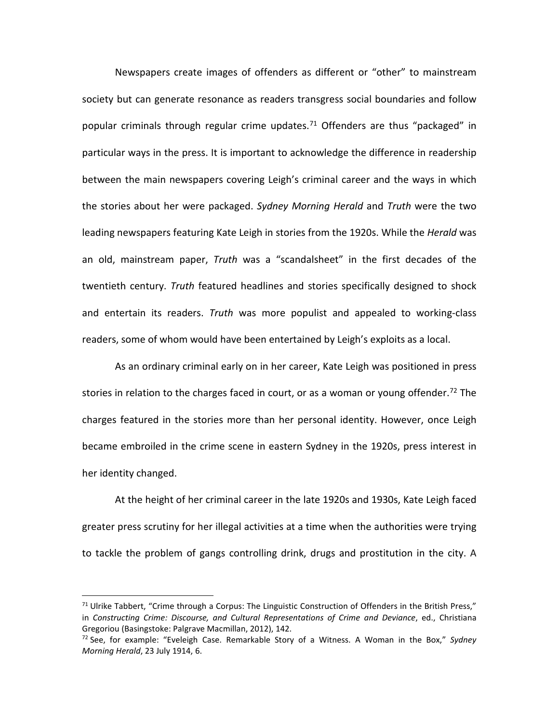Newspapers create images of offenders as different or "other" to mainstream society but can generate resonance as readers transgress social boundaries and follow popular criminals through regular crime updates.<sup>[71](#page-18-0)</sup> Offenders are thus "packaged" in particular ways in the press. It is important to acknowledge the difference in readership between the main newspapers covering Leigh's criminal career and the ways in which the stories about her were packaged. *Sydney Morning Herald* and *Truth* were the two leading newspapers featuring Kate Leigh in stories from the 1920s. While the *Herald* was an old, mainstream paper, *Truth* was a "scandalsheet" in the first decades of the twentieth century. *Truth* featured headlines and stories specifically designed to shock and entertain its readers. *Truth* was more populist and appealed to working-class readers, some of whom would have been entertained by Leigh's exploits as a local.

As an ordinary criminal early on in her career, Kate Leigh was positioned in press stories in relation to the charges faced in court, or as a woman or young offender.<sup>[72](#page-18-1)</sup> The charges featured in the stories more than her personal identity. However, once Leigh became embroiled in the crime scene in eastern Sydney in the 1920s, press interest in her identity changed.

At the height of her criminal career in the late 1920s and 1930s, Kate Leigh faced greater press scrutiny for her illegal activities at a time when the authorities were trying to tackle the problem of gangs controlling drink, drugs and prostitution in the city. A

<span id="page-18-0"></span><sup>&</sup>lt;sup>71</sup> Ulrike Tabbert, "Crime through a Corpus: The Linguistic Construction of Offenders in the British Press," in *Constructing Crime: Discourse, and Cultural Representations of Crime and Deviance*, ed., Christiana Gregoriou (Basingstoke: Palgrave Macmillan, 2012), 142.  $\overline{a}$ 

<span id="page-18-1"></span><sup>72</sup> See, for example: "Eveleigh Case. Remarkable Story of a Witness. A Woman in the Box," *Sydney Morning Herald*, 23 July 1914, 6.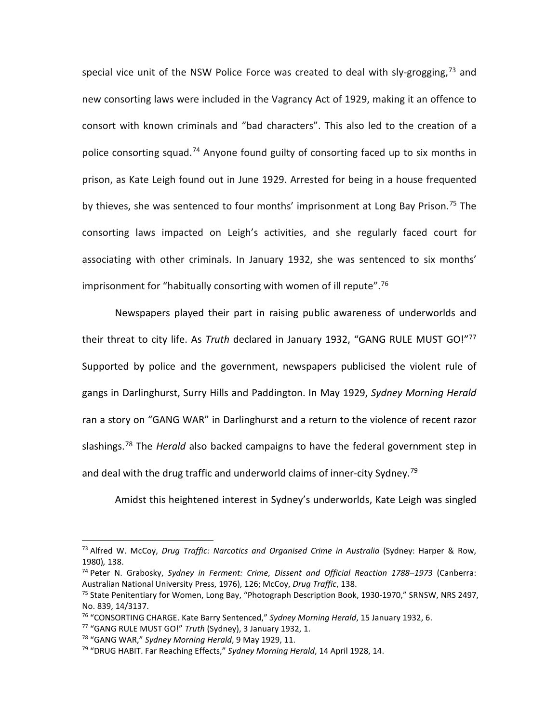special vice unit of the NSW Police Force was created to deal with sly-grogging,<sup>[73](#page-19-0)</sup> and new consorting laws were included in the Vagrancy Act of 1929, making it an offence to consort with known criminals and "bad characters". This also led to the creation of a police consorting squad.<sup>[74](#page-19-1)</sup> Anyone found guilty of consorting faced up to six months in prison, as Kate Leigh found out in June 1929. Arrested for being in a house frequented by thieves, she was sentenced to four months' imprisonment at Long Bay Prison.<sup>75</sup> The consorting laws impacted on Leigh's activities, and she regularly faced court for associating with other criminals. In January 1932, she was sentenced to six months' imprisonment for "habitually consorting with women of ill repute". [76](#page-19-3)

Newspapers played their part in raising public awareness of underworlds and their threat to city life. As *Truth* declared in January 1932, "GANG RULE MUST GO!"[77](#page-19-4) Supported by police and the government, newspapers publicised the violent rule of gangs in Darlinghurst, Surry Hills and Paddington. In May 1929, *Sydney Morning Herald*  ran a story on "GANG WAR" in Darlinghurst and a return to the violence of recent razor slashings.[78](#page-19-5) The *Herald* also backed campaigns to have the federal government step in and deal with the drug traffic and underworld claims of inner-city Sydney.<sup>[79](#page-19-6)</sup>

Amidst this heightened interest in Sydney's underworlds, Kate Leigh was singled

<span id="page-19-0"></span><sup>73</sup> Alfred W. McCoy, *Drug Traffic: Narcotics and Organised Crime in Australia* (Sydney: Harper & Row, 1980)*,* 138. l

<span id="page-19-1"></span><sup>74</sup> Peter N. Grabosky, *Sydney in Ferment: Crime, Dissent and Official Reaction 1788–1973* (Canberra: Australian National University Press, 1976), 126; McCoy, *Drug Traffic*, 138.

<span id="page-19-2"></span><sup>&</sup>lt;sup>75</sup> State Penitentiary for Women, Long Bay, "Photograph Description Book, 1930-1970," SRNSW, NRS 2497, No. 839, 14/3137.

<span id="page-19-3"></span><sup>76</sup> "CONSORTING CHARGE. Kate Barry Sentenced," *Sydney Morning Herald*, 15 January 1932, 6.

<span id="page-19-4"></span><sup>77</sup> "GANG RULE MUST GO!" *Truth* (Sydney), 3 January 1932, 1.

<span id="page-19-5"></span><sup>78</sup> "GANG WAR," *Sydney Morning Herald*, 9 May 1929, 11.

<span id="page-19-6"></span><sup>79</sup> "DRUG HABIT. Far Reaching Effects," *Sydney Morning Herald*, 14 April 1928, 14.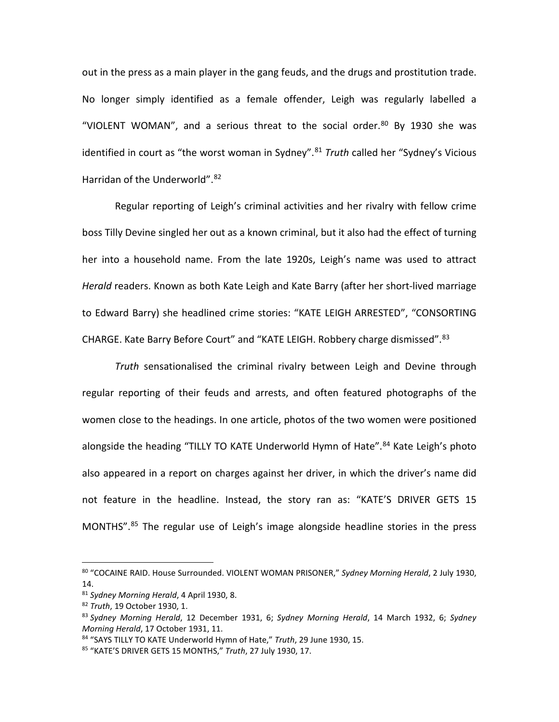out in the press as a main player in the gang feuds, and the drugs and prostitution trade. No longer simply identified as a female offender, Leigh was regularly labelled a "VIOLENT WOMAN", and a serious threat to the social order. $80$  By 1930 she was identified in court as "the worst woman in Sydney". [81](#page-20-1) *Truth* called her "Sydney's Vicious Harridan of the Underworld".<sup>[82](#page-20-2)</sup>

Regular reporting of Leigh's criminal activities and her rivalry with fellow crime boss Tilly Devine singled her out as a known criminal, but it also had the effect of turning her into a household name. From the late 1920s, Leigh's name was used to attract *Herald* readers. Known as both Kate Leigh and Kate Barry (after her short-lived marriage to Edward Barry) she headlined crime stories: "KATE LEIGH ARRESTED", "CONSORTING CHARGE. Kate Barry Before Court" and "KATE LEIGH. Robbery charge dismissed".<sup>[83](#page-20-3)</sup>

*Truth* sensationalised the criminal rivalry between Leigh and Devine through regular reporting of their feuds and arrests, and often featured photographs of the women close to the headings. In one article, photos of the two women were positioned alongside the heading "TILLY TO KATE Underworld Hymn of Hate".<sup>[84](#page-20-4)</sup> Kate Leigh's photo also appeared in a report on charges against her driver, in which the driver's name did not feature in the headline. Instead, the story ran as: "KATE'S DRIVER GETS 15 MONTHS". [85](#page-20-5) The regular use of Leigh's image alongside headline stories in the press

<span id="page-20-0"></span><sup>80</sup> "COCAINE RAID. House Surrounded. VIOLENT WOMAN PRISONER," *Sydney Morning Herald*, 2 July 1930, 14. l

<span id="page-20-2"></span><span id="page-20-1"></span><sup>81</sup> *Sydney Morning Herald*, 4 April 1930, 8.

<sup>82</sup> *Truth*, 19 October 1930, 1.

<span id="page-20-3"></span><sup>83</sup> *Sydney Morning Herald*, 12 December 1931, 6; *Sydney Morning Herald*, 14 March 1932, 6; *Sydney Morning Herald*, 17 October 1931, 11.

<span id="page-20-4"></span><sup>84</sup> "SAYS TILLY TO KATE Underworld Hymn of Hate," *Truth*, 29 June 1930, 15.

<span id="page-20-5"></span><sup>85</sup> "KATE'S DRIVER GETS 15 MONTHS," *Truth*, 27 July 1930, 17.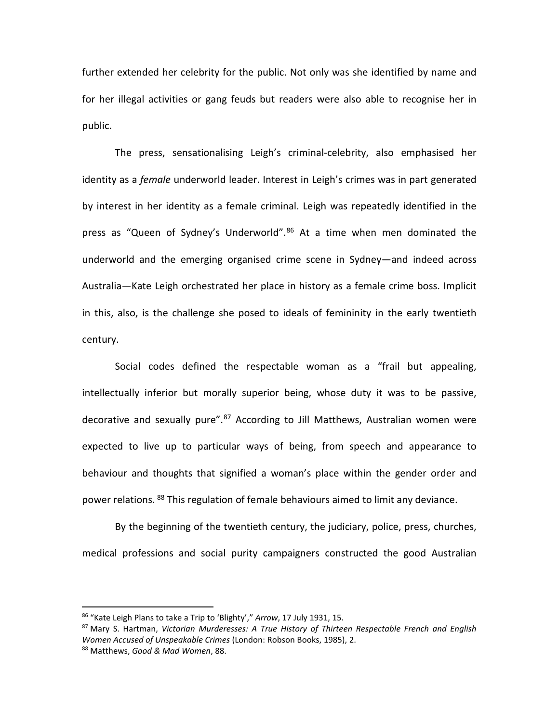further extended her celebrity for the public. Not only was she identified by name and for her illegal activities or gang feuds but readers were also able to recognise her in public.

The press, sensationalising Leigh's criminal-celebrity, also emphasised her identity as a *female* underworld leader. Interest in Leigh's crimes was in part generated by interest in her identity as a female criminal. Leigh was repeatedly identified in the press as "Queen of Sydney's Underworld".<sup>[86](#page-21-0)</sup> At a time when men dominated the underworld and the emerging organised crime scene in Sydney—and indeed across Australia—Kate Leigh orchestrated her place in history as a female crime boss. Implicit in this, also, is the challenge she posed to ideals of femininity in the early twentieth century.

Social codes defined the respectable woman as a "frail but appealing, intellectually inferior but morally superior being, whose duty it was to be passive, decorative and sexually pure".<sup>[87](#page-21-1)</sup> According to Jill Matthews, Australian women were expected to live up to particular ways of being, from speech and appearance to behaviour and thoughts that signified a woman's place within the gender order and power relations. [88](#page-21-2) This regulation of female behaviours aimed to limit any deviance.

By the beginning of the twentieth century, the judiciary, police, press, churches, medical professions and social purity campaigners constructed the good Australian

<sup>86</sup> "Kate Leigh Plans to take a Trip to 'Blighty'," *Arrow*, 17 July 1931, 15. l

<span id="page-21-2"></span><span id="page-21-1"></span><span id="page-21-0"></span><sup>87</sup> Mary S. Hartman, *Victorian Murderesses: A True History of Thirteen Respectable French and English Women Accused of Unspeakable Crimes* (London: Robson Books, 1985), 2. <sup>88</sup> Matthews, *Good & Mad Women*, 88.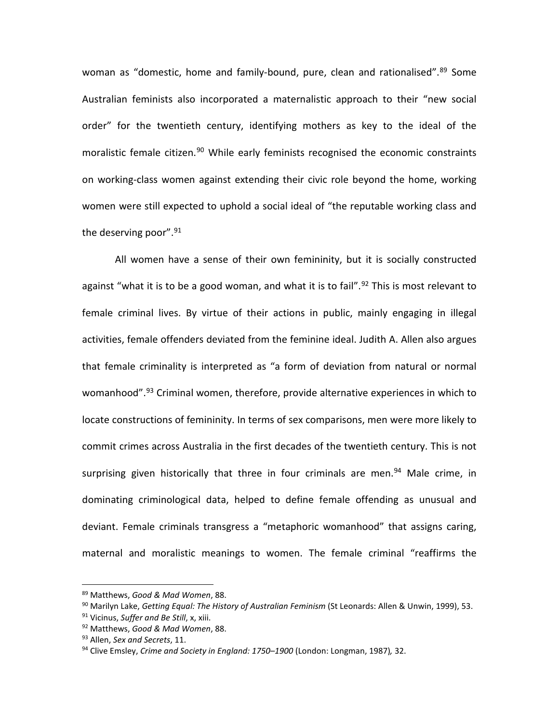woman as "domestic, home and family-bound, pure, clean and rationalised".<sup>[89](#page-22-0)</sup> Some Australian feminists also incorporated a maternalistic approach to their "new social order" for the twentieth century, identifying mothers as key to the ideal of the moralistic female citizen.<sup>[90](#page-22-1)</sup> While early feminists recognised the economic constraints on working-class women against extending their civic role beyond the home, working women were still expected to uphold a social ideal of "the reputable working class and the deserving poor". [91](#page-22-2)

All women have a sense of their own femininity, but it is socially constructed against "what it is to be a good woman, and what it is to fail".<sup>[92](#page-22-3)</sup> This is most relevant to female criminal lives. By virtue of their actions in public, mainly engaging in illegal activities, female offenders deviated from the feminine ideal. Judith A. Allen also argues that female criminality is interpreted as "a form of deviation from natural or normal womanhood".<sup>[93](#page-22-4)</sup> Criminal women, therefore, provide alternative experiences in which to locate constructions of femininity. In terms of sex comparisons, men were more likely to commit crimes across Australia in the first decades of the twentieth century. This is not surprising given historically that three in four criminals are men.<sup>[94](#page-22-5)</sup> Male crime, in dominating criminological data, helped to define female offending as unusual and deviant. Female criminals transgress a "metaphoric womanhood" that assigns caring, maternal and moralistic meanings to women. The female criminal "reaffirms the

<sup>89</sup> Matthews, *Good & Mad Women*, 88. l

<span id="page-22-1"></span><span id="page-22-0"></span><sup>90</sup> Marilyn Lake, *Getting Equal: The History of Australian Feminism* (St Leonards: Allen & Unwin, 1999), 53.

<span id="page-22-2"></span><sup>91</sup> Vicinus, *Suffer and Be Still*, x, xiii.

<span id="page-22-3"></span><sup>92</sup> Matthews, *Good & Mad Women*, 88.

<span id="page-22-4"></span><sup>93</sup> Allen, *Sex and Secrets*, 11.

<span id="page-22-5"></span><sup>94</sup> Clive Emsley, *Crime and Society in England: 1750–1900* (London: Longman, 1987)*,* 32.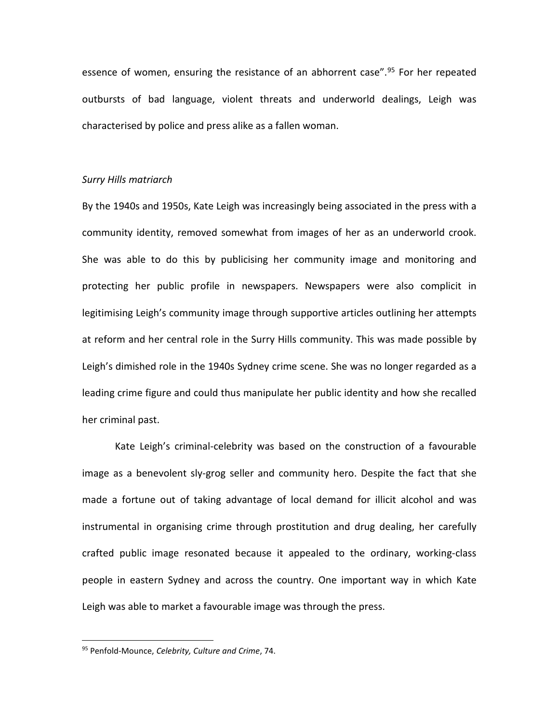essence of women, ensuring the resistance of an abhorrent case".<sup>[95](#page-23-0)</sup> For her repeated outbursts of bad language, violent threats and underworld dealings, Leigh was characterised by police and press alike as a fallen woman.

#### *Surry Hills matriarch*

By the 1940s and 1950s, Kate Leigh was increasingly being associated in the press with a community identity, removed somewhat from images of her as an underworld crook. She was able to do this by publicising her community image and monitoring and protecting her public profile in newspapers. Newspapers were also complicit in legitimising Leigh's community image through supportive articles outlining her attempts at reform and her central role in the Surry Hills community. This was made possible by Leigh's dimished role in the 1940s Sydney crime scene. She was no longer regarded as a leading crime figure and could thus manipulate her public identity and how she recalled her criminal past.

Kate Leigh's criminal-celebrity was based on the construction of a favourable image as a benevolent sly-grog seller and community hero. Despite the fact that she made a fortune out of taking advantage of local demand for illicit alcohol and was instrumental in organising crime through prostitution and drug dealing, her carefully crafted public image resonated because it appealed to the ordinary, working-class people in eastern Sydney and across the country. One important way in which Kate Leigh was able to market a favourable image was through the press.

<span id="page-23-0"></span><sup>95</sup> Penfold-Mounce, *Celebrity, Culture and Crime*, 74.  $\overline{\phantom{a}}$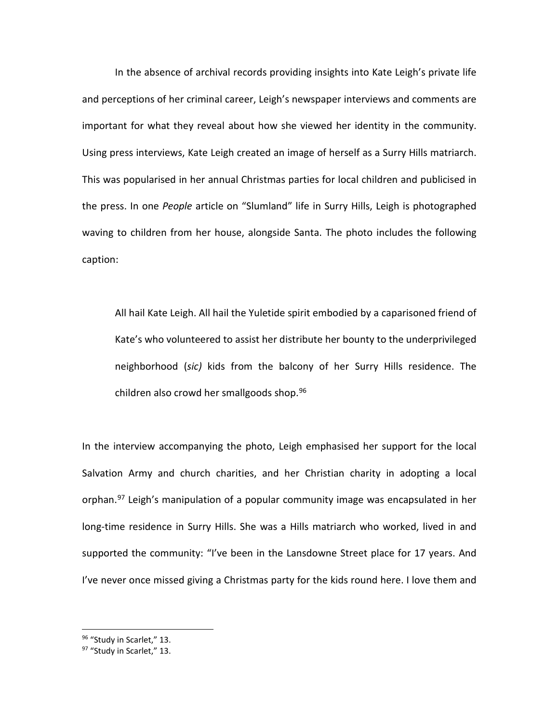In the absence of archival records providing insights into Kate Leigh's private life and perceptions of her criminal career, Leigh's newspaper interviews and comments are important for what they reveal about how she viewed her identity in the community. Using press interviews, Kate Leigh created an image of herself as a Surry Hills matriarch. This was popularised in her annual Christmas parties for local children and publicised in the press. In one *People* article on "Slumland" life in Surry Hills, Leigh is photographed waving to children from her house, alongside Santa. The photo includes the following caption:

All hail Kate Leigh. All hail the Yuletide spirit embodied by a caparisoned friend of Kate's who volunteered to assist her distribute her bounty to the underprivileged neighborhood (*sic)* kids from the balcony of her Surry Hills residence. The children also crowd her smallgoods shop. $96$ 

In the interview accompanying the photo, Leigh emphasised her support for the local Salvation Army and church charities, and her Christian charity in adopting a local orphan.<sup>[97](#page-24-1)</sup> Leigh's manipulation of a popular community image was encapsulated in her long-time residence in Surry Hills. She was a Hills matriarch who worked, lived in and supported the community: "I've been in the Lansdowne Street place for 17 years. And I've never once missed giving a Christmas party for the kids round here. I love them and

<sup>96</sup> "Study in Scarlet," 13. l

<span id="page-24-1"></span><span id="page-24-0"></span><sup>97 &</sup>quot;Study in Scarlet," 13.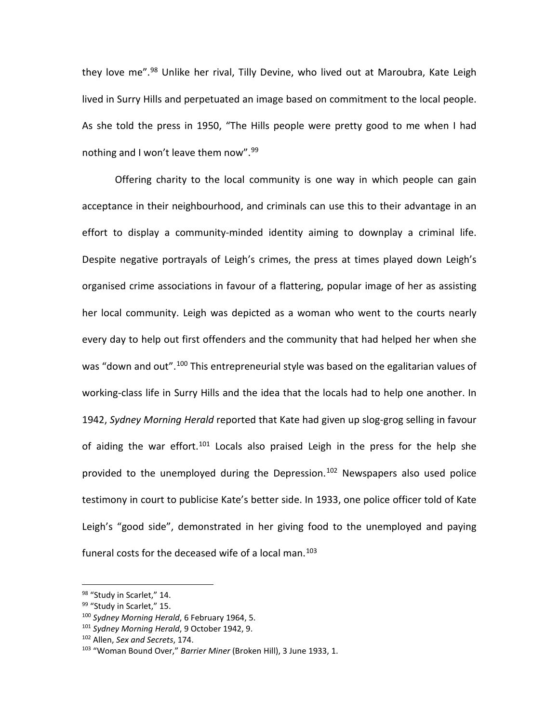they love me".<sup>[98](#page-25-0)</sup> Unlike her rival, Tilly Devine, who lived out at Maroubra, Kate Leigh lived in Surry Hills and perpetuated an image based on commitment to the local people. As she told the press in 1950, "The Hills people were pretty good to me when I had nothing and I won't leave them now".<sup>[99](#page-25-1)</sup>

Offering charity to the local community is one way in which people can gain acceptance in their neighbourhood, and criminals can use this to their advantage in an effort to display a community-minded identity aiming to downplay a criminal life. Despite negative portrayals of Leigh's crimes, the press at times played down Leigh's organised crime associations in favour of a flattering, popular image of her as assisting her local community. Leigh was depicted as a woman who went to the courts nearly every day to help out first offenders and the community that had helped her when she was "down and out".<sup>[100](#page-25-2)</sup> This entrepreneurial style was based on the egalitarian values of working-class life in Surry Hills and the idea that the locals had to help one another. In 1942, *Sydney Morning Herald* reported that Kate had given up slog-grog selling in favour of aiding the war effort.<sup>[101](#page-25-3)</sup> Locals also praised Leigh in the press for the help she provided to the unemployed during the Depression.<sup>[102](#page-25-4)</sup> Newspapers also used police testimony in court to publicise Kate's better side. In 1933, one police officer told of Kate Leigh's "good side", demonstrated in her giving food to the unemployed and paying funeral costs for the deceased wife of a local man.<sup>[103](#page-25-5)</sup>

l

<span id="page-25-0"></span><sup>&</sup>lt;sup>98</sup> "Study in Scarlet," 14.

<span id="page-25-1"></span><sup>99 &</sup>quot;Study in Scarlet," 15.

<span id="page-25-2"></span><sup>100</sup> *Sydney Morning Herald*, 6 February 1964, 5.

<span id="page-25-3"></span><sup>101</sup> *Sydney Morning Herald*, 9 October 1942, 9.

<span id="page-25-4"></span><sup>102</sup> Allen, *Sex and Secrets*, 174.

<span id="page-25-5"></span><sup>103</sup> "Woman Bound Over," *Barrier Miner* (Broken Hill), 3 June 1933, 1.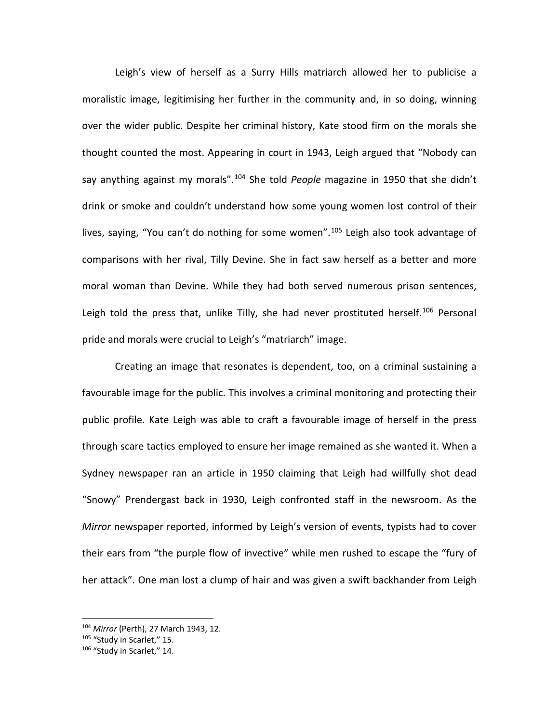Leigh's view of herself as a Surry Hills matriarch allowed her to publicise a moralistic image, legitimising her further in the community and, in so doing, winning over the wider public. Despite her criminal history, Kate stood firm on the morals she thought counted the most. Appearing in court in 1943, Leigh argued that "Nobody can say anything against my morals". [104](#page-26-0) She told *People* magazine in 1950 that she didn't drink or smoke and couldn't understand how some young women lost control of their lives, saying, "You can't do nothing for some women".<sup>[105](#page-26-1)</sup> Leigh also took advantage of comparisons with her rival, Tilly Devine. She in fact saw herself as a better and more moral woman than Devine. While they had both served numerous prison sentences, Leigh told the press that, unlike Tilly, she had never prostituted herself.<sup>[106](#page-26-2)</sup> Personal pride and morals were crucial to Leigh's "matriarch" image.

Creating an image that resonates is dependent, too, on a criminal sustaining a favourable image for the public. This involves a criminal monitoring and protecting their public profile. Kate Leigh was able to craft a favourable image of herself in the press through scare tactics employed to ensure her image remained as she wanted it. When a Sydney newspaper ran an article in 1950 claiming that Leigh had willfully shot dead "Snowy" Prendergast back in 1930, Leigh confronted staff in the newsroom. As the *Mirror* newspaper reported, informed by Leigh's version of events, typists had to cover their ears from "the purple flow of invective" while men rushed to escape the "fury of her attack". One man lost a clump of hair and was given a swift backhander from Leigh

<sup>104</sup> *Mirror* (Perth), 27 March 1943, 12. j

<span id="page-26-1"></span><span id="page-26-0"></span><sup>105 &</sup>quot;Study in Scarlet," 15.

<span id="page-26-2"></span><sup>106 &</sup>quot;Study in Scarlet," 14.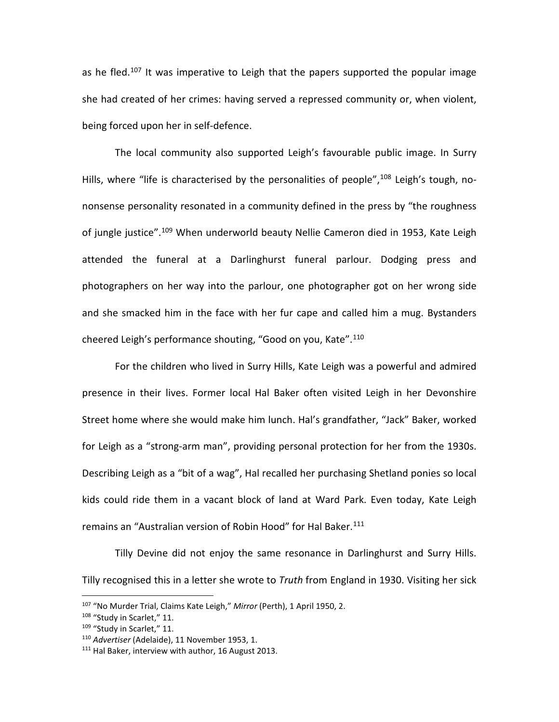as he fled.<sup>[107](#page-27-0)</sup> It was imperative to Leigh that the papers supported the popular image she had created of her crimes: having served a repressed community or, when violent, being forced upon her in self-defence.

The local community also supported Leigh's favourable public image. In Surry Hills, where "life is characterised by the personalities of people",<sup>[108](#page-27-1)</sup> Leigh's tough, nononsense personality resonated in a community defined in the press by "the roughness of jungle justice".<sup>[109](#page-27-2)</sup> When underworld beauty Nellie Cameron died in 1953, Kate Leigh attended the funeral at a Darlinghurst funeral parlour. Dodging press and photographers on her way into the parlour, one photographer got on her wrong side and she smacked him in the face with her fur cape and called him a mug. Bystanders cheered Leigh's performance shouting, "Good on you, Kate".<sup>[110](#page-27-3)</sup>

For the children who lived in Surry Hills, Kate Leigh was a powerful and admired presence in their lives. Former local Hal Baker often visited Leigh in her Devonshire Street home where she would make him lunch. Hal's grandfather, "Jack" Baker, worked for Leigh as a "strong-arm man", providing personal protection for her from the 1930s. Describing Leigh as a "bit of a wag", Hal recalled her purchasing Shetland ponies so local kids could ride them in a vacant block of land at Ward Park. Even today, Kate Leigh remains an "Australian version of Robin Hood" for Hal Baker.<sup>[111](#page-27-4)</sup>

Tilly Devine did not enjoy the same resonance in Darlinghurst and Surry Hills. Tilly recognised this in a letter she wrote to *Truth* from England in 1930. Visiting her sick

<span id="page-27-0"></span><sup>107</sup> "No Murder Trial, Claims Kate Leigh," *Mirror* (Perth), 1 April 1950, 2. j

<span id="page-27-1"></span><sup>108 &</sup>quot;Study in Scarlet," 11.

<span id="page-27-2"></span><sup>&</sup>lt;sup>109</sup> "Study in Scarlet." 11.

<span id="page-27-3"></span><sup>110</sup> *Advertiser* (Adelaide), 11 November 1953, 1.

<span id="page-27-4"></span><sup>&</sup>lt;sup>111</sup> Hal Baker, interview with author, 16 August 2013.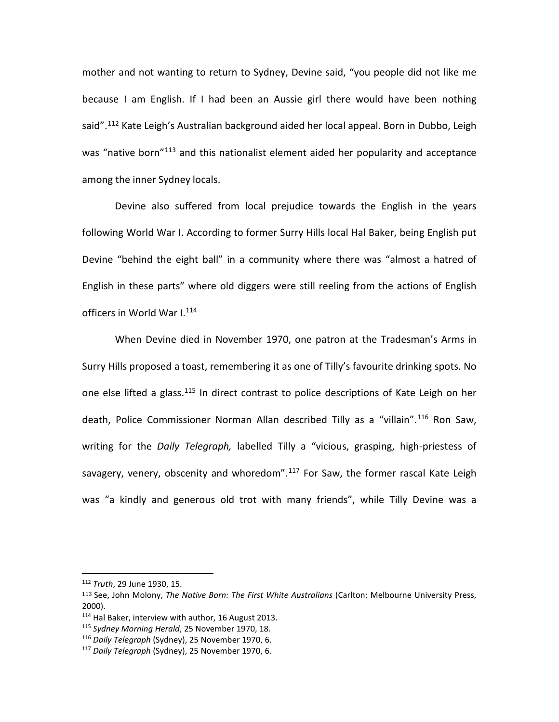mother and not wanting to return to Sydney, Devine said, "you people did not like me because I am English. If I had been an Aussie girl there would have been nothing said".<sup>[112](#page-28-0)</sup> Kate Leigh's Australian background aided her local appeal. Born in Dubbo, Leigh was "native born"<sup>113</sup> and this nationalist element aided her popularity and acceptance among the inner Sydney locals.

Devine also suffered from local prejudice towards the English in the years following World War I. According to former Surry Hills local Hal Baker, being English put Devine "behind the eight ball" in a community where there was "almost a hatred of English in these parts" where old diggers were still reeling from the actions of English officers in World War I.<sup>[114](#page-28-2)</sup>

When Devine died in November 1970, one patron at the Tradesman's Arms in Surry Hills proposed a toast, remembering it as one of Tilly's favourite drinking spots. No one else lifted a glass.<sup>[115](#page-28-3)</sup> In direct contrast to police descriptions of Kate Leigh on her death, Police Commissioner Norman Allan described Tilly as a "villain". [116](#page-28-4) Ron Saw, writing for the *Daily Telegraph,* labelled Tilly a "vicious, grasping, high-priestess of savagery, venery, obscenity and whoredom".<sup>[117](#page-28-5)</sup> For Saw, the former rascal Kate Leigh was "a kindly and generous old trot with many friends", while Tilly Devine was a

<sup>112</sup> *Truth*, 29 June 1930, 15. j

<span id="page-28-1"></span><span id="page-28-0"></span><sup>113</sup> See, John Molony, *The Native Born: The First White Australians* (Carlton: Melbourne University Press, 2000).

<span id="page-28-2"></span><sup>114</sup> Hal Baker, interview with author, 16 August 2013.

<span id="page-28-3"></span><sup>115</sup> *Sydney Morning Herald*, 25 November 1970, 18.

<span id="page-28-5"></span><span id="page-28-4"></span><sup>116</sup> *Daily Telegraph* (Sydney), 25 November 1970, 6.

<sup>117</sup> *Daily Telegraph* (Sydney), 25 November 1970, 6.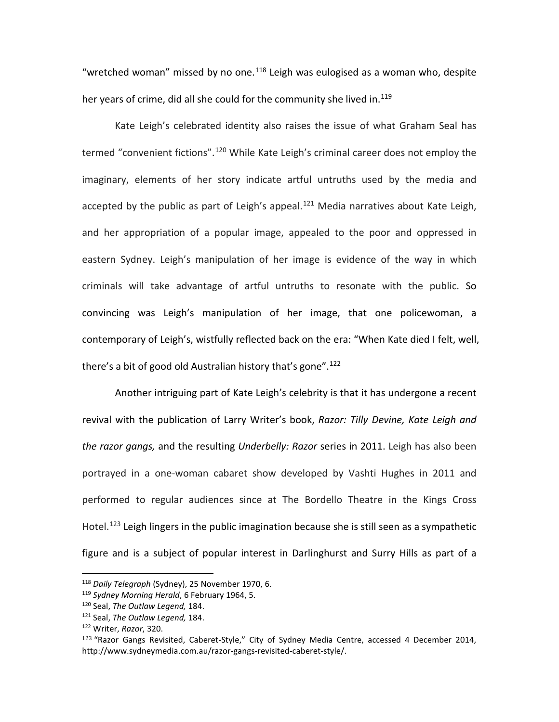"wretched woman" missed by no one. $118$  Leigh was eulogised as a woman who, despite her years of crime, did all she could for the community she lived in.<sup>[119](#page-29-1)</sup>

Kate Leigh's celebrated identity also raises the issue of what Graham Seal has termed "convenient fictions".<sup>[120](#page-29-2)</sup> While Kate Leigh's criminal career does not employ the imaginary, elements of her story indicate artful untruths used by the media and accepted by the public as part of Leigh's appeal.<sup>[121](#page-29-3)</sup> Media narratives about Kate Leigh, and her appropriation of a popular image, appealed to the poor and oppressed in eastern Sydney. Leigh's manipulation of her image is evidence of the way in which criminals will take advantage of artful untruths to resonate with the public. So convincing was Leigh's manipulation of her image, that one policewoman, a contemporary of Leigh's, wistfully reflected back on the era: "When Kate died I felt, well, there's a bit of good old Australian history that's gone".<sup>[122](#page-29-4)</sup>

Another intriguing part of Kate Leigh's celebrity is that it has undergone a recent revival with the publication of Larry Writer's book, *Razor: Tilly Devine, Kate Leigh and the razor gangs,* and the resulting *Underbelly: Razor* series in 2011. Leigh has also been portrayed in a one-woman cabaret show developed by Vashti Hughes in 2011 and performed to regular audiences since at The Bordello Theatre in the Kings Cross Hotel.<sup>[123](#page-29-5)</sup> Leigh lingers in the public imagination because she is still seen as a sympathetic figure and is a subject of popular interest in Darlinghurst and Surry Hills as part of a

j

<span id="page-29-0"></span><sup>118</sup> *Daily Telegraph* (Sydney), 25 November 1970, 6.

<span id="page-29-1"></span><sup>119</sup> *Sydney Morning Herald*, 6 February 1964, 5.

<span id="page-29-2"></span><sup>120</sup> Seal, *The Outlaw Legend,* 184.

<span id="page-29-3"></span><sup>121</sup> Seal, *The Outlaw Legend,* 184.

<span id="page-29-4"></span><sup>122</sup> Writer, *Razor*, 320.

<span id="page-29-5"></span><sup>123</sup> "Razor Gangs Revisited, Caberet-Style," City of Sydney Media Centre, accessed 4 December 2014, http://www.sydneymedia.com.au/razor-gangs-revisited-caberet-style/.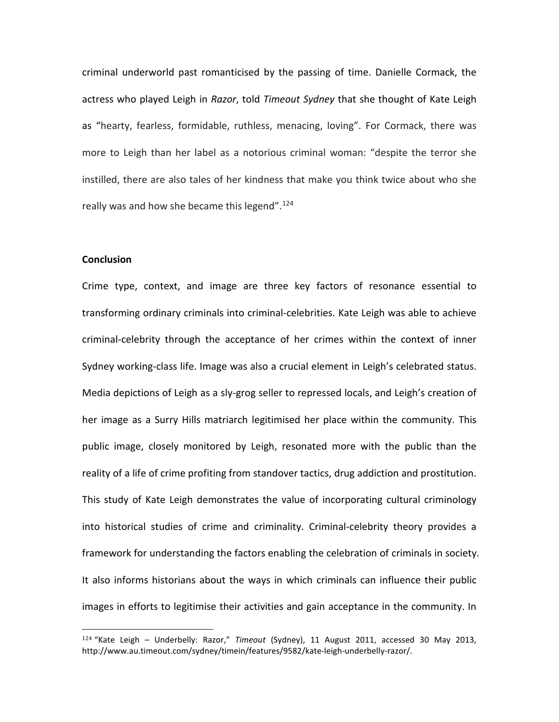criminal underworld past romanticised by the passing of time. Danielle Cormack, the actress who played Leigh in *Razor*, told *Timeout Sydney* that she thought of Kate Leigh as "hearty, fearless, formidable, ruthless, menacing, loving". For Cormack, there was more to Leigh than her label as a notorious criminal woman: "despite the terror she instilled, there are also tales of her kindness that make you think twice about who she really was and how she became this legend".<sup>[124](#page-30-0)</sup>

#### **Conclusion**

Crime type, context, and image are three key factors of resonance essential to transforming ordinary criminals into criminal-celebrities. Kate Leigh was able to achieve criminal-celebrity through the acceptance of her crimes within the context of inner Sydney working-class life. Image was also a crucial element in Leigh's celebrated status. Media depictions of Leigh as a sly-grog seller to repressed locals, and Leigh's creation of her image as a Surry Hills matriarch legitimised her place within the community. This public image, closely monitored by Leigh, resonated more with the public than the reality of a life of crime profiting from standover tactics, drug addiction and prostitution. This study of Kate Leigh demonstrates the value of incorporating cultural criminology into historical studies of crime and criminality. Criminal-celebrity theory provides a framework for understanding the factors enabling the celebration of criminals in society. It also informs historians about the ways in which criminals can influence their public images in efforts to legitimise their activities and gain acceptance in the community. In

<span id="page-30-0"></span><sup>124</sup> "Kate Leigh – Underbelly: Razor," *Timeout* (Sydney), 11 August 2011, accessed 30 May 2013, [http://www.au.timeout.com/sydney/timein/features/9582/kate-leigh-underbelly-razor/](http://www.au.timeout.com/sydney/timein/features/9582/kate-leigh-underbelly-razor). i<br>I